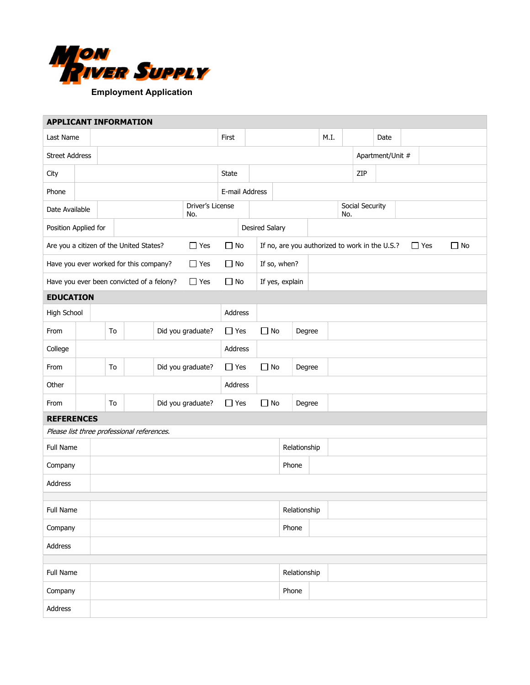

| <b>APPLICANT INFORMATION</b>                         |    |                                                              |                   |            |            |                         |                  |                |                 |                                                |              |      |  |     |                 |      |  |            |  |           |  |
|------------------------------------------------------|----|--------------------------------------------------------------|-------------------|------------|------------|-------------------------|------------------|----------------|-----------------|------------------------------------------------|--------------|------|--|-----|-----------------|------|--|------------|--|-----------|--|
| Last Name                                            |    |                                                              | First             |            |            |                         |                  |                |                 |                                                |              | M.I. |  |     |                 | Date |  |            |  |           |  |
| <b>Street Address</b>                                |    |                                                              |                   |            |            |                         | Apartment/Unit # |                |                 |                                                |              |      |  |     |                 |      |  |            |  |           |  |
| City                                                 |    |                                                              |                   |            |            |                         | <b>State</b>     |                |                 |                                                |              |      |  |     | ZIP             |      |  |            |  |           |  |
| Phone                                                |    |                                                              |                   |            |            |                         |                  | E-mail Address |                 |                                                |              |      |  |     |                 |      |  |            |  |           |  |
| Date Available                                       |    |                                                              |                   |            |            | Driver's License<br>No. |                  |                |                 |                                                |              |      |  | No. | Social Security |      |  |            |  |           |  |
| Position Applied for                                 |    |                                                              |                   |            |            |                         |                  |                | Desired Salary  |                                                |              |      |  |     |                 |      |  |            |  |           |  |
| Are you a citizen of the United States?              |    |                                                              |                   |            |            | $\Box$ Yes              | $\Box$ No        |                |                 | If no, are you authorized to work in the U.S.? |              |      |  |     |                 |      |  | $\Box$ Yes |  | $\Box$ No |  |
| Have you ever worked for this company?<br>$\Box$ Yes |    |                                                              |                   | $\Box$ No  |            |                         | If so, when?     |                |                 |                                                |              |      |  |     |                 |      |  |            |  |           |  |
|                                                      |    | Have you ever been convicted of a felony?                    |                   |            | $\Box$ Yes | $\Box$ No               |                  |                | If yes, explain |                                                |              |      |  |     |                 |      |  |            |  |           |  |
| <b>EDUCATION</b>                                     |    |                                                              |                   |            |            |                         |                  |                |                 |                                                |              |      |  |     |                 |      |  |            |  |           |  |
| High School                                          |    |                                                              |                   |            |            | Address                 |                  |                |                 |                                                |              |      |  |     |                 |      |  |            |  |           |  |
| From                                                 | To |                                                              |                   |            |            | Did you graduate?       |                  | $\Box$ Yes     |                 | $\Box$ No<br>Degree                            |              |      |  |     |                 |      |  |            |  |           |  |
| College                                              |    |                                                              |                   |            |            |                         | Address          |                |                 |                                                |              |      |  |     |                 |      |  |            |  |           |  |
| From                                                 |    | $\Box$ Yes<br>$\Box$ No<br>Did you graduate?<br>To<br>Degree |                   |            |            |                         |                  |                |                 |                                                |              |      |  |     |                 |      |  |            |  |           |  |
| Other                                                |    |                                                              |                   |            |            |                         | Address          |                |                 |                                                |              |      |  |     |                 |      |  |            |  |           |  |
| From                                                 | To |                                                              | Did you graduate? | $\Box$ Yes |            | $\Box$ No               |                  | Degree         |                 |                                                |              |      |  |     |                 |      |  |            |  |           |  |
| <b>REFERENCES</b>                                    |    |                                                              |                   |            |            |                         |                  |                |                 |                                                |              |      |  |     |                 |      |  |            |  |           |  |
| Please list three professional references.           |    |                                                              |                   |            |            |                         |                  |                |                 |                                                |              |      |  |     |                 |      |  |            |  |           |  |
| Full Name                                            |    |                                                              |                   |            |            |                         |                  |                |                 |                                                | Relationship |      |  |     |                 |      |  |            |  |           |  |
| Company                                              |    |                                                              |                   |            |            |                         |                  |                |                 | Phone                                          |              |      |  |     |                 |      |  |            |  |           |  |
| Address                                              |    |                                                              |                   |            |            |                         |                  |                |                 |                                                |              |      |  |     |                 |      |  |            |  |           |  |
| Full Name                                            |    |                                                              |                   |            |            |                         |                  |                |                 |                                                | Relationship |      |  |     |                 |      |  |            |  |           |  |
|                                                      |    |                                                              |                   |            |            |                         |                  |                |                 | Phone                                          |              |      |  |     |                 |      |  |            |  |           |  |
| Company<br>Address                                   |    |                                                              |                   |            |            |                         |                  |                |                 |                                                |              |      |  |     |                 |      |  |            |  |           |  |
|                                                      |    |                                                              |                   |            |            |                         |                  |                |                 |                                                |              |      |  |     |                 |      |  |            |  |           |  |
| Full Name                                            |    |                                                              |                   |            |            |                         |                  |                |                 |                                                | Relationship |      |  |     |                 |      |  |            |  |           |  |
| Company                                              |    |                                                              |                   |            |            |                         |                  |                |                 |                                                | Phone        |      |  |     |                 |      |  |            |  |           |  |
| Address                                              |    |                                                              |                   |            |            |                         |                  |                |                 |                                                |              |      |  |     |                 |      |  |            |  |           |  |